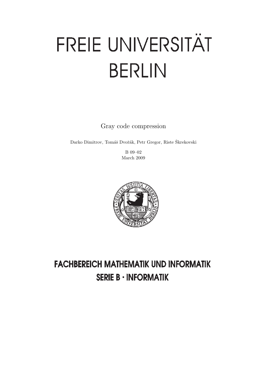# FREIE UNIVERSITÄT **BERLIN**

Gray code compression

Darko Dimitrov, Tomáš Dvořák, Petr Gregor, Riste Škrekovski

B 09–02 March 2009



## **FACHBEREICH MATHEMATIK UND INFORMATIK SERIE B · INFORMATIK**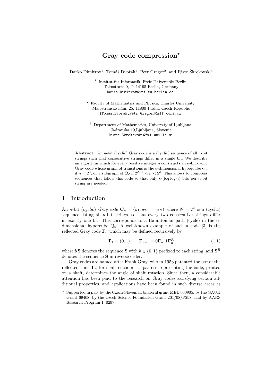### Gray code compression\*

Darko Dimitrov<sup>1</sup>, Tomáš Dvořák<sup>2</sup>, Petr Gregor<sup>2</sup>, and Riste Škrekovski<sup>3</sup>

 $1$  Institut für Informatik, Freie Universität Berlin, Takustraße 9, D–14195 Berlin, Germany Darko.Dimitrov@inf.fu-berlin.de

<sup>2</sup> Faculty of Mathematics and Physics, Charles University, Malostranské nám. 25, 11800 Praha, Czech Republic [Tomas.Dvorak,Petr.Gregor]@mff.cuni.cz

<sup>3</sup> Department of Mathematics, University of Ljubljana, Jadranska 19,Ljubljana, Slovenia Riste.Skrekovski@fmf.uni-lj.si

Abstract. An *n*-bit (cyclic) Gray code is a (cyclic) sequence of all *n*-bit strings such that consecutive strings differ in a single bit. We describe an algorithm which for every positive integer  $n$  constructs an  $n$ -bit cyclic Gray code whose graph of transitions is the d-dimensional hypercube  $Q_d$ if  $n = 2^d$ , or a subgraph of  $Q_d$  if  $2^{d-1} < n < 2^d$ . This allows to compress sequences that follow this code so that only  $\Theta(\log \log n)$  bits per n-bit string are needed.

#### 1 Introduction

An *n*-bit (cyclic) Gray code  $\mathbf{C}_n = (u_1, u_2, \dots, u_N)$  where  $N = 2^n$  is a (cyclic) sequence listing all *n*-bit strings, so that every two consecutive strings differ in exactly one bit. This corresponds to a Hamiltonian path (cycle) in the  $n$ dimensional hypercube  $Q_n$ . A well-known example of such a code [3] is the reflected Gray code  $\Gamma_n$  which may be defined recursively by

$$
\Gamma_1 = (0, 1) \qquad \Gamma_{n+1} = 0 \Gamma_n, 1 \Gamma_n^R \tag{1.1}
$$

where  $b S$  denotes the sequence S with  $b \in \{0, 1\}$  prefixed to each string, and  $S<sup>R</sup>$ denotes the sequence S in reverse order.

Gray codes are named after Frank Gray, who in 1953 patented the use of the reflected code  $\Gamma_n$  for shaft encoders: a pattern representing the code, printed on a shaft, determines the angle of shaft rotation. Since then, a considerable attention has been paid to the research on Gray codes satisfying certain additional properties, and applications have been found in such diverse areas as

<sup>⋆</sup> Supported in part by the Czech-Slovenian bilateral grant MEB 080905, by the GAUK Grant 69408, by the Czech Science Foundation Grant 201/08/P298, and by AARS Research Program P-0297.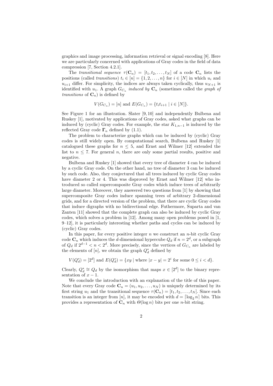graphics and image processing, information retrieval or signal encoding [8]. Here we are particularly concerned with applications of Gray codes in the field of data compression [7, Section 4.2.1].

The transitional sequence  $\tau(\mathbf{C}_n) = [t_1, t_2, \ldots, t_N]$  of a code  $\mathbf{C}_n$  lists the positions (called transitions)  $t_i \in [n] = \{1, 2, ..., n\}$  for  $i \in [N]$  in which  $u_i$  and  $u_{i+1}$  differ. For simplicity, the indices are always taken cyclically, thus  $u_{N+1}$  is identified with  $u_1$ . A graph  $G_{C_n}$  induced by  $\mathbf{C}_n$  (sometimes called the graph of transitions of  $\mathbf{C}_n$ ) is defined by

$$
V(G_{C_n}) = [n] \text{ and } E(G_{C_n}) = \{t_i t_{i+1} \mid i \in [N] \}.
$$

See Figure 1 for an illustration. Slater [9, 10] and independently Bulbena and Ruskey [1], motivated by applications of Gray codes, asked what graphs can be induced by (cyclic) Gray codes. For example, the star  $K_{1,n-1}$  is induced by the reflected Gray code  $\Gamma_n$  defined by (1.1).

The problem to characterize graphs which can be induced by (cyclic) Gray codes is still widely open. By computational search, Bulbena and Ruskey [1] catalogued these graphs for  $n \leq 5$ , and Ernst and Wilmer [12] extended the list to  $n \leq 7$ . For general n, there are only some partial results, positive and negative.

Bulbena and Ruskey [1] showed that every tree of diameter 4 can be induced by a cyclic Gray code. On the other hand, no tree of diameter 3 can be induced by such code. Also, they conjectured that all trees induced by cyclic Gray codes have diameter 2 or 4. This was disproved by Ernst and Wilmer [12] who introduced so called supercomposite Gray codes which induce trees of arbitrarily large diameter. Moreover, they answered two questions from [1] by showing that supercomposite Gray codes induce spanning trees of arbitrary 2-dimensional grids, and for a directed version of the problem, that there are cyclic Gray codes that induce digraphs with no bidirectional edge. Futhermore, Suparta and van Zanten [11] showed that the complete graph can also be induced by cyclic Gray codes, which solves a problem in [12]. Among many open problems posed in [1, 9–12], it is particularly interesting whether paths and cycles can be induced by (cyclic) Gray codes.

In this paper, for every positive integer  $n$  we construct an  $n$ -bit cyclic Gray code  $\mathbf{C}_n$  which induces the d-dimensional hypercube  $Q_d$  if  $n = 2^d$ , or a subgraph of  $Q_d$  if  $2^{d-1} < n < 2^d$ . More precisely, since the vertices of  $G_{C_n}$  are labeled by the elements of  $[n]$ , we obtain the graph  $Q_d^*$  defined by

 $V(Q_d^*) = [2^d]$  and  $E(Q_d^*) = \{xy \mid \text{where } |x - y| = 2^i \text{ for some } 0 \leq i < d\}.$ 

Clearly,  $Q_d^* \cong Q_d$  by the isomorphism that maps  $x \in [2^d]$  to the binary representation of  $x - 1$ .

We conclude the introduction with an explanation of the title of this paper. Note that every Gray code  $\mathbf{C}_n = (u_1, u_2, \dots, u_N)$  is uniquely determined by its first string  $u_1$  and the transitional sequence  $\tau(\mathbf{C}_n) = [t_1, t_2, \ldots, t_N]$ . Since each transition is an integer from [n], it may be encoded with  $d = \lceil \log_2 n \rceil$  bits. This provides a representation of  $\mathbf{C}_n$  with  $\Theta(\log n)$  bits per one *n*-bit string.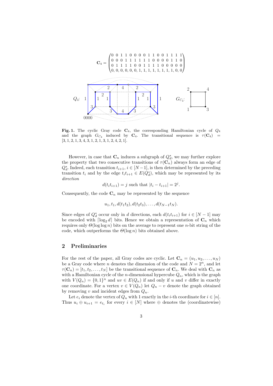

Fig. 1. The cyclic Gray code  $C_4$ , the corresponding Hamiltonian cycle of  $Q_4$ and the graph  $G_{C_4}$  induced by  $C_4$ . The transitional sequence is  $\tau(C_4)$  =  $[3, 1, 2, 1, 3, 4, 3, 1, 2, 1, 3, 1, 2, 4, 2, 1].$ 

However, in case that  $\mathbf{C}_n$  induces a subgraph of  $Q_d^*$ , we may further explore the property that two consecutive transitions of  $\tau(\mathbf{C}_n)$  always form an edge of  $Q_d^*$ . Indeed, each transition  $t_{i+1}$ ,  $i \in [N-1]$ , is then determined by the preceding transition  $t_i$  and by the edge  $t_i t_{i+1} \in E(Q_d^*)$ , which may be represented by its direction

$$
d(t_i t_{i+1}) = j
$$
 such that  $|t_i - t_{i+1}| = 2^j$ .

Consequently, the code  $\mathbf{C}_n$  may be represented by the sequence

$$
u_1, t_1, d(t_1t_2), d(t_2t_3), \ldots, d(t_{N-1}t_N).
$$

Since edges of  $Q_d^*$  occur only in d directions, each  $d(t_i t_{i+1})$  for  $i \in [N-1]$  may be encoded with  $\lceil \log_2 d \rceil$  bits. Hence we obtain a representation of  $\mathbf{C}_n$  which requires only  $\Theta(\log \log n)$  bits on the average to represent one *n*-bit string of the code, which outperforms the  $\Theta(\log n)$  bits obtained above.

#### 2 Preliminaries

For the rest of the paper, all Gray codes are cyclic. Let  $\mathbf{C}_n = (u_1, u_2, \dots, u_N)$ be a Gray code where n denotes the dimension of the code and  $N = 2<sup>n</sup>$ , and let  $\tau(\mathbf{C}_n) = [t_1, t_2, \dots, t_N]$  be the transitional sequence of  $\mathbf{C}_n$ . We deal with  $\mathbf{C}_n$  as with a Hamiltonian cycle of the *n*-dimensional hypercube  $Q_n$ , which is the graph with  $V(Q_n) = \{0,1\}^n$  and  $uv \in E(Q_n)$  if and only if u and v differ in exactly one coordinate. For a vertex  $v \in V(Q_n)$  let  $Q_n - v$  denote the graph obtained by removing  $v$  and incident edges from  $Q_n$ .

Let  $e_i$  denote the vertex of  $Q_n$  with 1 exactly in the *i*-th coordinate for  $i \in [n]$ . Thus  $u_i \oplus u_{i+1} = e_{t_i}$  for every  $i \in [N]$  where  $\oplus$  denotes the (coordinatewise)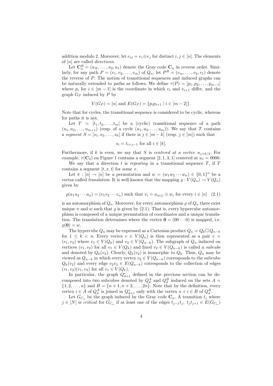addition modulo 2. Moreover, let  $e_{ij} = e_i \oplus e_j$  for distinct  $i, j \in [n]$ . The elements of  $[n]$  are called *directions*.

Let  $\mathbf{C}_n^R = (u_N, \dots, u_2, u_1)$  denote the Gray code  $\mathbf{C}_n$  in reverse order. Similarly, for any path  $P = (v_1, v_2, \dots, v_m)$  of  $Q_n$ , let  $P^R = (v_m, \dots, v_2, v_1)$  denote the reverse of P. The notion of transitional sequences and induced graphs can be naturally extended to paths as follows. We define  $\tau(P) = [p_1, p_2, \ldots, p_{m-1}]$ where  $p_i$  for  $i \in [m-1]$  is the coordinate in which  $v_i$  and  $v_{i+1}$  differ, and the graph  $G_P$  induced by P by

$$
V(G_P) = [n] \text{ and } E(G_P) = \{p_i p_{i+1} \mid i \in [m-2]\}.
$$

Note that for cycles, the transitional sequence is considered to be cyclic, whereas for paths it is not.

Let  $T = [t_1, t_2, \ldots, t_m]$  be a (cyclic) transitional sequence of a path  $(u_1, u_2, \ldots, u_{m+1})$  (resp. of a cycle  $(u_1, u_2, \ldots, u_m)$ ). We say that T contains a segment  $S = [s_1, s_2, \ldots, s_k]$  if there is  $j \in [m-k]$  (resp.  $j \in [m]$ ) such that

$$
s_i = t_{i+j-1} \text{ for all } i \in [k].
$$

Furthermore, if k is even, we say that S is centered at a vertex  $u_{i+k/2}$ . For example,  $\tau(\mathbf{C}_4)$  on Figure 1 contains a segment [2, 1, 3, 1] centered at  $u_1 = 0000$ .

We say that a direction  $t$  is repeating in a transitional sequence  $T$ , if  $T$ contains a segment  $[t, x, t]$  for some x.

Let  $\pi : [n] \to [n]$  be a permutation and  $w = (w_1 w_2 \cdots w_n) \in \{0,1\}^n$  be a vector called translation. It is well known that the mapping  $\varrho: V(Q_n) \to V(Q_n)$ given by

$$
\varrho(u_1u_2\cdots u_n)=(v_1v_2\cdots v_n)\text{ such that }v_i=u_{\pi(i)}\oplus w_i\text{ for every }i\in[n]\quad(2.1)
$$

is an automorphism of  $Q_n$ . Moreover, for every automorphism  $\varrho$  of  $Q_n$  there exist unique  $\pi$  and w such that  $\rho$  is given by (2.1). That is, every hypercube automorphism is composed of a unique permutation of coordinates and a unique translation. The translation determines where the vertex  $\mathbf{0} = (00 \cdots 0)$  is mapped, i.e.  $\rho(\mathbf{0}) = w.$ 

The hypercube  $Q_n$  may be expressed as a Cartesian product  $Q_n = Q_k \Box Q_{n-k}$ for  $1 \leq k < n$ . Every vertex  $v \in V(Q_n)$  is then represented as a pair  $v =$  $(v_1, v_2)$  where  $v_1 \in V(Q_k)$  and  $v_2 \in V(Q_{n-k})$ . The subgraph of  $Q_n$  induced on vertices  $(v_1, v_2)$  for all  $v_1 \in V(Q_k)$  and fixed  $v_2 \in V(Q_{n-k})$  is called a *subcube* and denoted by  $Q_k(v_2)$ . Clearly,  $Q_k(v_2)$  is isomorphic to  $Q_k$ . Thus,  $Q_n$  may be viewed as  $Q_{n-k}$  in which every vertex  $v_2 \in V(Q_{n-k})$  corresponds to the subcube  $Q_k(v_2)$  and every edge  $v_2v_3 \in E(Q_{n-k})$  corresponds to the collection of edges  $(v_1, v_2)(v_1, v_3)$  for all  $v_1 \in V(Q_k)$ .

In particular, the graph  $Q_{d+1}^*$  defined in the previous section can be decomposed into two subcubes denoted by  $Q_d^A$  and  $Q_d^B$  induced on the sets  $A =$  $\{1, 2, \ldots, n\}$  and  $B = \{n+1, n+2, \ldots, 2n\}$ . Note that by the definition, every vertex  $i \in A$  of  $Q_d^A$  is joined in  $Q_{d+1}^*$  only with the vertex  $n + i \in B$  of  $Q_d^B$ .

Let  $G_{C_n}$  be the graph induced by the Gray code  $\mathbf{C}_n$ . A transition  $t_j$  where  $j \in [N]$  is critical for  $G_{C_n}$  if at least one of the edges  $t_{j-1}t_j$ ,  $t_jt_{j+1} \in E(G_{C_n})$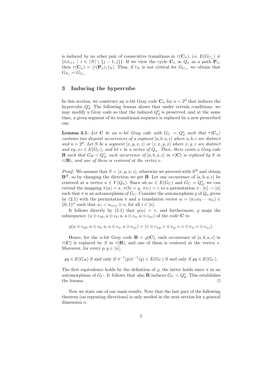is induced by no other pair of consecutive transitions in  $\tau(\mathbf{C}_n)$ , i.e.  $E(G_{C_n}) \neq$  $\{t_i t_{i+1} \mid i \in [N] \setminus \{j-1, j\}\}\.$  If we view the cycle  $\mathbf{C}_n$  in  $Q_n$  as a path  $\mathbf{P}_n$ , then  $\tau(\mathbf{C}_n) = [\tau(\mathbf{P}_n), t_N]$ . Thus, if  $t_N$  is not critical for  $G_{C_n}$ , we obtain that  $G_{P_n}=G_{C_n}.$ 

#### 3 Inducing the hypercube

In this section, we construct an *n*-bit Gray code  $\mathbb{C}_n$  for  $n = 2^d$  that induces the hypercube  $Q_d^*$ . The following lemma shows that under certain conditions, we may modify a Gray code so that the induced  $Q_d^*$  is preserved, and at the same time, a given segment of its transitional sequence is replaced by a new prescribed one.

**Lemma 3.1.** Let C be an n-bit Gray code with  $G_C = Q_d^*$  such that  $\tau(C_n)$ contains two disjoint occurrences of a segment  $[a, b, a, c]$  where  $a, b, c$  are distinct and  $n = 2<sup>d</sup>$ . Let S be a segment  $[x, y, x, z]$  or  $[z, x, y, x]$  where  $x, y, z$  are distinct and  $xy, xz \in E(G_C)$ , and let v be a vertex of  $Q_n$ . Then, there exists a Gray code **B** such that  $G_B = Q_d^*$ , each occurrence of  $[a, b, a, c]$  in  $\tau(C)$  is replaced by S in  $\tau(\mathbf{B})$ , and one of them is centered at the vertex v.

*Proof.* We assume that  $S = [x, y, x, z]$ , otherwise we proceed with  $S<sup>R</sup>$  and obtain  $\mathbf{B}^R$ , so by changing the direction we get **B**. Let one occurrence of [a, b, a, c] be centered at a vertex  $u \in V(Q_n)$ . Since  $ab, ac \in E(G_C)$  and  $G_C = Q_d^*$ , we can extend the mapping  $\pi(a) = x$ ,  $\pi(b) = y$ ,  $\pi(c) = z$  to a permutation  $\pi : [n] \to [n]$ such that  $\pi$  is an automorphism of  $G_C$ . Consider the automorphism  $\varrho$  of  $Q_n$  given by (2.1) with the permutation  $\pi$  and a translation vector  $w = (w_1w_2 \cdots w_n) \in$  $\{0,1\}^n$  such that  $w_i = u_{\pi(i)} \oplus v_i$  for all  $i \in [n]$ .

It follows directly by (2.1) that  $\varrho(u) = v$ , and furthermore,  $\varrho$  maps the subsequence  $(u \oplus e_{ab}, u \oplus e_b, u, u \oplus e_a, u \oplus e_{ac})$  of the code **C** to

$$
\varrho(u\oplus e_{ab},u\oplus e_b,u,u\oplus e_a,u\oplus e_{ac})=(v\oplus e_{xy},v\oplus e_y,v,v\oplus e_x,v\oplus e_{xz}).
$$

Hence, for the *n*-bit Gray code  $\mathbf{B} = \varrho(\mathbf{C})$ , each occurrence of [a, b, a, c] in  $\tau(C)$  is replaced by S in  $\tau(B)$ , and one of them is centered at the vertex v. Moreover, for every  $p, q \in [n]$ ,

 $pq \in E(G_B)$  if and only if  $\pi^{-1}(p)\pi^{-1}(q) \in E(G_C)$  if and only if  $pq \in E(G_C)$ .

The first equivalence holds by the definition of  $\rho$ , the latter holds since  $\pi$  in an automorphism of  $G_C$ . It follows that also **B** induces  $G_C = Q_d^*$ . This establishes the lemma. ⊓⊔

Now we state one of our main results. Note that the last part of the following theorem (on repeating directions) is only needed in the next section for a general dimension *n*.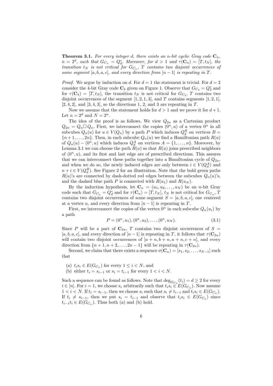**Theorem 3.1.** For every integer d, there exists an n-bit cyclic Gray code  $\mathbf{C}_n$ ,  $n = 2<sup>d</sup>$ , such that  $G_{C_n} = Q_d^*$ . Moreover, for  $d > 1$  and  $\tau(\mathbf{C}_n) = [T, t_N]$ , the transition  $t_N$  is not critical for  $G_{C_n}$ , T contains two disjoint occurrences of some segment [a, b, a, c], and every direction from  $[n-1]$  is repeating in T.

*Proof.* We argue by induction on d. For  $d = 1$  the statement is trivial. For  $d = 2$ consider the 4-bit Gray code  $\mathbb{C}_4$  given on Figure 1. Observe that  $G_{C_4} = Q_2^*$  and for  $\tau(\mathbf{C}_4) = [T, t_N]$ , the transition  $t_N$  is not critical for  $G_{C_4}$ , T contains two disjoint occurrences of the segment  $[1, 2, 1, 3]$ , and T contains segments  $[1, 2, 1]$ ,  $[2, 4, 2]$ , and  $[3, 4, 3]$ , so the directions 1, 2, and 3 are repeating in  $T$ .

Now we assume that the statement holds for  $d > 1$  and we prove it for  $d + 1$ . Let  $n = 2^d$  and  $N = 2^n$ .

The idea of the proof is as follows. We view  $Q_{2n}$  as a Cartesian product  $Q_{2n} = Q_n \Box Q_n$ . First, we interconnect the copies  $(0^n, u)$  of a vertex  $0^n$  in all subcubes  $Q_n(u)$  for  $u \in V(Q_n)$  by a path P which induces  $Q_d^B$  on vertices  $B =$  ${n+1,\ldots,2n}$ . Then, in each subcube  $Q_n(u)$  we find a Hamiltonian path  $R(u)$ of  $Q_n(u) - (0^n, u)$  which induces  $Q_d^A$  on vertices  $A = \{1, \ldots, n\}$ . Moreover, by Lemma 3.1 we can choose the path  $R(u)$  so that  $R(u)$  joins prescribed neighbors of  $(0^n, u)$ , and its first and last edge are of prescribed directions. This assures that we can interconnect these paths together into a Hamiltonian cycle of  $Q_{2n}$ , and when we do so, the newly induced edges are only between  $i \in V(Q_d^A)$  and  $n + i \in V(Q_d^B)$ . See Figure 2 for an illustration. Note that the bold green paths  $R(u)$ 's are connected by dash-dotted red edges between the subcubes  $Q_n(u)$ 's, and the dashed blue path P is connected with  $R(u_1)$  and  $R(u_N)$ .

By the induction hypothesis, let  $\mathbf{C}_n = (u_1, u_2, \dots, u_N)$  be an *n*-bit Gray code such that  $G_{C_n} = Q_d^*$  and for  $\tau(\mathbf{C}_n) = [T, t_N]$ ,  $t_N$  is not critical for  $G_{C_n}$ ,  $T$ contains two disjoint occurrences of some segment  $S = [a, b, a, c]$ , one centered at a vertex u, and every direction from  $[n-1]$  is repeating in T.

First, we interconnect the copies of the vertex  $0^n$  in each subcube  $Q_n(u_i)$  by a path

$$
P = (0^n, u_1), (0^n, u_2), \dots, (0^n, u_N). \tag{3.1}
$$

Since P will be a part of  $C_{2n}$ , T contains two disjoint occurrences of  $S =$ [a, b, a, c], and every direction of  $[n-1]$  is repeating in T, it follows that  $\tau(\mathbf{C}_{2n})$ will contain two disjoint occurrences of  $[a + n, b + n, a + n, c + n]$ , and every direction from  $\{n+1, n+2, \ldots, 2n-1\}$  will be repeating in  $\tau(\mathbf{C}_{2n})$ .

Second, we claim that there exists a sequence  $\sigma(\mathbf{C}_n) = [s_1, s_2, \ldots, s_{N-1}]$  such that

- (a)  $t_i s_i \in E(G_{C_n})$  for every  $1 \leq i \leq N$ , and
- (b) either  $t_i = s_{i-1}$  or  $s_i = t_{i-1}$  for every  $1 < i < N$ .

Such a sequence can be found as follows. Note that  $\deg_{G_{C_n}}(t_i) = d \geq 2$  for every  $i \in [n]$ . For  $i = 1$ , we choose  $s_i$  arbitrarily such that  $t_i s_i \in E(G_{C_n})$ . Now assume  $1 < i < N$ . If  $t_i = s_{i-1}$ , then we choose  $s_i$  such that  $s_i \neq t_{i-1}$  and  $t_i s_i \in E(G_{C_n})$ . If  $t_i \neq s_{i-1}$ , then we put  $s_i = t_{i-1}$  and observe that  $t_i s_i \in E(G_{C_n})$  since  $t_{i-1}t_i \in E(G_{C_n})$ . Thus both (a) and (b) hold.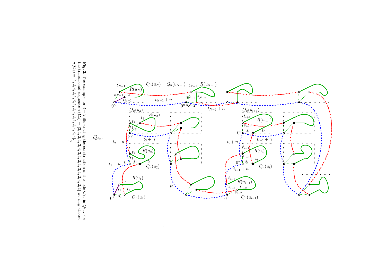

Fig. 2. The example for  $\boldsymbol{\beta}$  $= 2$  illustrating the construction of the code  $\mathbf{C}_{2n}$ in  $Q_{2n}$ . For the transitional sequence  $\tau(\mathbf{C}_4) = [3,$ <sup>1</sup>, <sup>2</sup>, <sup>1</sup>, ىي <sup>4</sup>, ىب <sup>1</sup>, <sup>2</sup>, <sup>1</sup>, ىب <sup>1</sup>, <sup>2</sup>, <sup>4</sup>, ب. 1] we may choose  $\sigma(\mathbf{C}_4) = [1,$ <sup>2</sup>, <sup>4</sup>, <sup>2</sup>, <sup>1</sup>, ىي <sup>1</sup>, بي. <sup>4</sup>, <sup>2</sup>, <sup>1</sup>, <sup>2</sup>, <sup>4</sup>, بي  $\frac{4}{5}$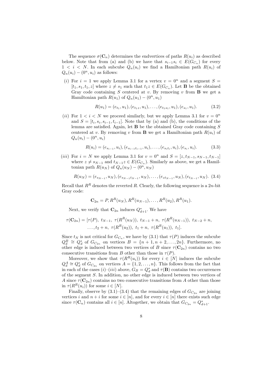The sequence  $\sigma(\mathbf{C}_n)$  determines the endvertices of paths  $R(u_i)$  as described below. Note that from (a) and (b) we have that  $s_{i-1}s_i \in E(G_{C_n})$  for every  $1 < i < N$ . In each subcube  $Q_n(u_i)$  we find a Hamiltonian path  $R(u_i)$  of  $Q_n(u_i) - (0^n, u_i)$  as follows:

(i) For  $i = 1$  we apply Lemma 3.1 for a vertex  $v = 0^n$  and a segment  $S =$  $[t_1, s_1, t_1, z]$  where  $z \neq s_1$  such that  $t_1z \in E(G_{C_n})$ . Let **B** be the obtained Gray code containing  $S$  centered at  $v$ . By removing  $v$  from  $B$  we get a Hamiltonian path  $R(u_1)$  of  $Q_n(u_1) - (0^n, u_1)$ 

$$
R(u_1) = (e_{t_1}, u_1), (e_{t_1z}, u_1), \dots, (e_{t_1s_1}, u_1), (e_{s_1}, u_1). \tag{3.2}
$$

(ii) For  $1 < i < N$  we proceed similarly, but we apply Lemma 3.1 for  $v = 0^n$ and  $S = [t_i, s_i, s_{i-1}, t_{i-1}]$ . Note that by (a) and (b), the conditions of the lemma are satisfied. Again, let  $\bf{B}$  be the obtained Gray code containing S centered at v. By removing v from **B** we get a Hamiltonian path  $R(u_i)$  of  $Q_n(u_i) - (0^n, u_i)$ 

$$
R(u_i) = (e_{s_{i-1}}, u_i), (e_{s_{i-1}t_{i-1}}, u_i), \dots, (e_{s_i t_i}, u_i), (e_{s_i}, u_i). \tag{3.3}
$$

(*iii*) For  $i = N$  we apply Lemma 3.1 for  $v = 0^n$  and  $S = [z, t_{N-1}, s_{N-1}, t_{N-1}]$ where  $z \neq s_{N-1}$  and  $t_{N-1}z \in E(G_{C_n})$ . Similarly as above, we get a Hamiltonian path  $R(u_N)$  of  $Q_n(u_N) - (0^n, u_N)$ 

$$
R(u_N) = (e_{s_{N-1}}, u_N), (e_{s_{N-1}t_{N-1}}, u_N), \ldots, (e_{zt_{N-1}}, u_N), (e_{t_{N-1}}, u_N). \quad (3.4)
$$

Recall that  $R^R$  denotes the reverted R. Clearly, the following sequence is a 2n-bit Gray code:

$$
C_{2n} = P, R^{R}(u_N), R^{R}(u_{N-1}), \ldots, R^{R}(u_2), R^{R}(u_1).
$$

Next, we verify that  $\mathbf{C}_{2n}$  induces  $Q_{d+1}^*$ . We have

$$
\tau(\mathbf{C}_{2n}) = [\tau(P), t_{N-1}, \ \tau(R^{R}(u_N)), t_{N-1} + n, \ \tau(R^{R}(u_{N-1})), t_{N-2} + n, \\ \dots, t_2 + n, \ \tau(R^{R}(u_2)), t_1 + n, \ \tau(R^{R}(u_1)), t_1].
$$

Since  $t_N$  is not critical for  $G_{C_n}$ , we have by (3.1) that  $\tau(P)$  induces the subcube  $Q_d^B \cong Q_d^*$  of  $G_{C_{2n}}$  on vertices  $B = \{n+1, n+2, \ldots, 2n\}$ . Furthermore, no other edge is induced between two vertices of B since  $\tau(\mathbf{C}_{2n})$  contains no two consecutive transitions from B other than those in  $\tau(P)$ .

Moreover, we show that  $\tau(R^R(u_i))$  for every  $i \in [N]$  induces the subcube  $Q_d^A \cong Q_d^*$  of  $G_{C_{2n}}$  on vertices  $A = \{1, 2, ..., n\}$ . This follows from the fact that in each of the cases  $(i)$ – $(iii)$  above,  $G_B = Q_d^*$  and  $\tau(\mathbf{B})$  contains two occurrences of the segment S. In addition, no other edge is induced between two vertices of A since  $\tau(\mathbf{C}_{2n})$  contains no two consecutive transitions from A other than those in  $\tau(R^R(u_i))$  for some  $i \in [N]$ .

Finally, observe by  $(3.1)$ – $(3.4)$  that the remaining edges of  $G_{C_{2n}}$  are joining vertices i and  $n + i$  for some  $i \in [n]$ , and for every  $i \in [n]$  there exists such edge since  $\tau(\mathbf{C}_n)$  contains all  $i \in [n]$ . Altogether, we obtain that  $G_{C_{2n}} = Q_{d+1}^*$ .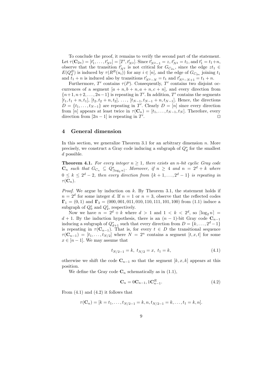To conclude the proof, it remains to verify the second part of the statement. Let  $\tau(\mathbf{C}_{2n}) = [t'_1, \ldots, t'_{N^2}] = [T', t'_{N^2}]$ . Since  $t'_{N^2-1} = z, t'_{N^2} = t_1$ , and  $t'_1 = t_1 + n$ , observe that the transition  $t'_{N^2}$  is not critical for  $G_{C_{2n}}$ , since the edge  $zt_1 \in$  $E(Q_d^B)$  is induced by  $\tau(R^R(u_i))$  for any  $i \in [n]$ , and the edge of  $G_{C_{2n}}$  joining  $t_1$ and  $t_1 + n$  is induced also by transitions  $t'_{N^2-N} = t_1$  and  $t'_{N^2-N+1} = t_1 + n$ .

Furthermore,  $T'$  contains  $\tau(P)$ . Consequently,  $T'$  contains two disjoint occurrences of a segment  $[a + n, b + n, a + n, c + n]$ , and every direction from  ${n+1, n+2,..., 2n-1}$  is repeating in T'. In addition, T' contains the segments  $[t_1, t_1 + n, t_1], [t_2, t_2 + n, t_2], \ldots, [t_{N-1}, t_{N-1} + n, t_{N-1}].$  Hence, the directions  $D = \{t_1, \ldots, t_{N-1}\}\$ are repeating in T'. Clearly  $D = [n]$  since every direction from [n] appears at least twice in  $\tau(\mathbf{C}_n) = [t_1, \ldots, t_{N-1}, t_N]$ . Therefore, every direction from  $[2n-1]$  is repeating in  $T'$ . ⊓⊔

#### 4 General dimension

In this section, we generalize Theorem 3.1 for an arbitrary dimension  $n$ . More precisely, we construct a Gray code inducing a subgraph of  $Q_d^*$  for the smallest  $d$  possible.

**Theorem 4.1.** For every integer  $n \geq 1$ , there exists an n-bit cyclic Gray code  $\mathbf{C}_n$  such that  $G_{C_n} \subseteq Q_{\lceil \log_2 n \rceil}^*$ . Moreover, if  $n \geq 4$  and  $n = 2^d + k$  where  $0 \leq k \leq 2^d - 2$ , then every direction from  $\{k+1,\ldots,2^d-1\}$  is repeating in  $\tau(\mathbf{C}_n)$ .

*Proof.* We argue by induction on  $k$ . By Theorem 3.1, the statement holds if  $n = 2<sup>d</sup>$  for some integer d. If  $n = 1$  or  $n = 3$ , observe that the reflected codes  $\Gamma_1 = (0, 1)$  and  $\Gamma_3 = (000, 001, 011, 010, 110, 111, 101, 100)$  from (1.1) induce a subgraph of  $Q_0^*$  and  $Q_2^*$ , respectively.

Now we have  $n = 2^d + k$  where  $d > 1$  and  $1 < k < 2^d$ , so  $\lceil \log_2 n \rceil$  $d+1$ . By the induction hypothesis, there is an  $(n-1)$ -bit Gray code  $C_{n-1}$ inducing a subgraph of  $Q_{d+1}^*$  such that every direction from  $D = \{k, \ldots, 2^d - 1\}$ is repeating in  $\tau(\mathbf{C}_{n-1})$ . That is, for every  $t \in D$  the transitional sequence  $\tau(\mathbf{C}_{n-1}) = [t_1, \ldots, t_{N/2}]$  where  $N = 2^n$  contains a segment  $[t, x, t]$  for some  $x \in [n-1]$ . We may assume that

$$
t_{N/2-1} = k, \ t_{N/2} = x, \ t_1 = k,\tag{4.1}
$$

otherwise we shift the code  $\mathbf{C}_{n-1}$  so that the segment  $[k, x, k]$  appears at this position.

We define the Gray code  $\mathbf{C}_n$  schematically as in (1.1),

$$
\mathbf{C}_n = 0\mathbf{C}_{n-1}, 1\mathbf{C}_{n-1}^R. \tag{4.2}
$$

From  $(4.1)$  and  $(4.2)$  it follows that

$$
\tau(\mathbf{C}_n) = [k = t_1, \dots, t_{N/2-1} = k, n, t_{N/2-1} = k, \dots, t_1 = k, n].
$$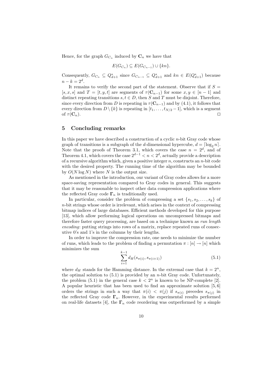Hence, for the graph  $G_{C_n}$  induced by  $\mathbf{C}_n$  we have that

$$
E(G_{C_n}) \subseteq E(G_{C_{n-1}}) \cup \{kn\}.
$$

Consequently,  $G_{C_n} \subseteq Q_{d+1}^*$  since  $G_{C_{n-1}} \subseteq Q_{d+1}^*$  and  $kn \in E(Q_{d+1}^*)$  because  $n - k = 2^d$ .

It remains to verify the second part of the statement. Observe that if  $S =$ [s, x, s] and  $T = [t, y, t]$  are segments of  $\tau(\mathbf{C}_{n-1})$  for some  $x, y \in [n-1]$  and distinct repeating transitions  $s, t \in D$ , then S and T must be disjoint. Therefore, since every direction from D is repeating in  $\tau(\mathbf{C}_{n-1})$  and by (4.1), it follows that every direction from  $D \setminus \{k\}$  is repeating in  $[t_1, \ldots, t_{N/2} - 1]$ , which is a segment of  $\tau(\mathbf{C}_n)$ . □

#### 5 Concluding remarks

In this paper we have described a construction of a cyclic  $n$ -bit Gray code whose graph of transitions is a subgraph of the d-dimensional hypercube,  $d = \lceil \log_2 n \rceil$ . Note that the proofs of Theorem 3.1, which covers the case  $n = 2^d$ , and of Theorem 4.1, which covers the case  $2^{d-1} < n < 2^d$ , actually provide a description of a recursive algorithm which, given a positive integer  $n$ , constructs an  $n$ -bit code with the desired property. The running time of the algorithm may be bounded by  $O(N \log N)$  where N is the output size.

As mentioned in the introduction, our variant of Gray codes allows for a more space-saving representation compared to Gray codes in general. This suggests that it may be reasonable to inspect other data compression applications where the reflected Gray code  $\Gamma_n$  is traditionally used.

In particular, consider the problem of compressing a set  $\{s_1, s_2, \ldots, s_k\}$  of  $n$ -bit strings whose order is irrelevant, which arises in the context of compressing bitmap indices of large databases. Efficient methods developed for this purpose [13], which allow performing logical operations on uncompressed bitmaps and therefore faster query processing, are based on a technique known as *run length* encoding: putting strings into rows of a matrix, replace repeated runs of consecutive 0's and 1's in the columns by their lengths.

In order to improve the compression rate, one needs to minimize the number of runs, which leads to the problem of finding a permutation  $\pi : [n] \to [n]$  which minimizes the sum

$$
\sum_{i=1}^{k-1} d_H(s_{\pi(i)}, s_{\pi(i+1)}) \tag{5.1}
$$

where  $d_H$  stands for the Hamming distance. In the extremal case that  $k = 2^n$ , the optimal solution to  $(5.1)$  is provided by an *n*-bit Gray code. Unfortunately, the problem (5.1) in the general case  $k < 2<sup>n</sup>$  is known to be NP-complete [2]. A popular heuristic that has been used to find an approximate solution [5, 6] orders the strings in such a way that  $\pi(i) < \pi(j)$  if  $s_{\pi(i)}$  precedes  $s_{\pi(j)}$  in the reflected Gray code  $\Gamma_n$ . However, in the experimental results performed on real-life datasets [4], the  $\Gamma_n$  code reordering was outperformed by a simple